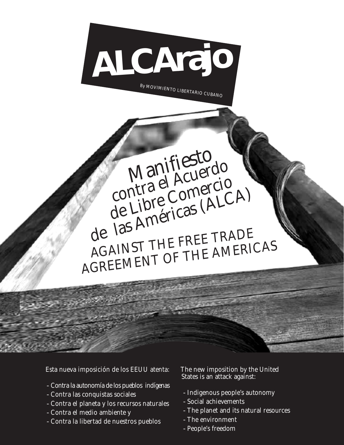

By MOVIMIENTO LIBERTARIO CUBANO

Manifiesto<br>Manifiesto

Maniflesterdo<br>contra el Acuerdo

contra el Acuercio<br>de Libre Comercio<br>de Libre Comercio

de las Américas (ALCA)

AGAINST THE FREE TRADE

AGREEMENT OF THE AMERICAS

Esta nueva imposición de los EEUU atenta:

- -Contra la autonomía de los pueblos indígenas
- -Contra las conquistas sociales
- -Contra el planeta y los recursos naturales
- -Contra el medio ambiente y
- -Contra la libertad de nuestros pueblos

The new imposition by the United States is an attack against:

- -Indigenous people's autonomy
- -Social achievements
- -The planet and its natural resources
- -The environment
- -People's freedom